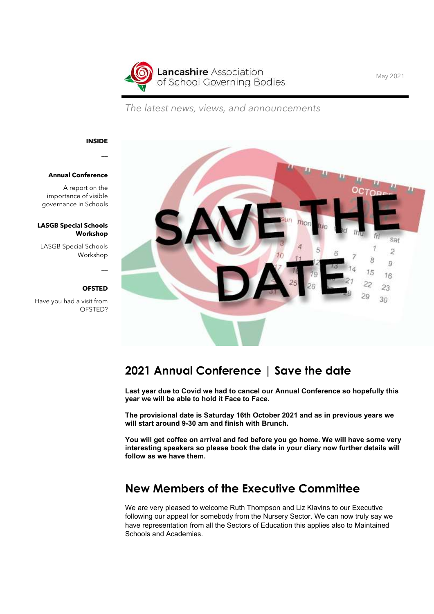

The latest news, views, and announcements

### INSIDE

#### Annual Conference

A report on the importance of visible governance in Schools

#### LASGB Special Schools Workshop

LASGB Special Schools Workshop

### **OFSTED**

Have you had a visit from OFSTED?



## 2021 Annual Conference | Save the date

Last year due to Covid we had to cancel our Annual Conference so hopefully this year we will be able to hold it Face to Face.

The provisional date is Saturday 16th October 2021 and as in previous years we will start around 9-30 am and finish with Brunch.

You will get coffee on arrival and fed before you go home. We will have some very interesting speakers so please book the date in your diary now further details will follow as we have them.

## New Members of the Executive Committee

We are very pleased to welcome Ruth Thompson and Liz Klavins to our Executive following our appeal for somebody from the Nursery Sector. We can now truly say we have representation from all the Sectors of Education this applies also to Maintained Schools and Academies.

May 2021